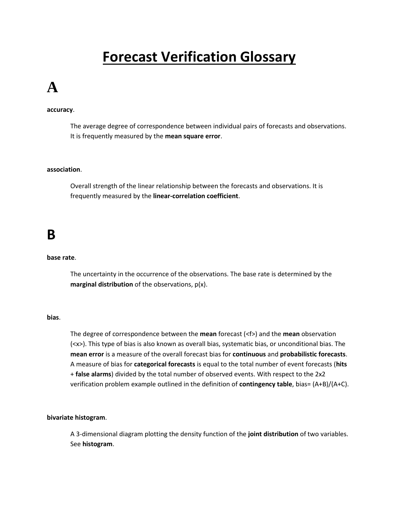## **Forecast Verification Glossary**

## **A**

### **accuracy**.

The average degree of correspondence between individual pairs of forecasts and observations. It is frequently measured by the **mean square error**.

### **association**.

Overall strength of the linear relationship between the forecasts and observations. It is frequently measured by the **linear-correlation coefficient**.

### **[B](http://www.swpc.noaa.gov/forecast_verification/Glossary.html#top)**

### **base rate**.

The uncertainty in the occurrence of the observations. The base rate is determined by the **marginal distribution** of the observations, p(x).

### **bias**.

The degree of correspondence between the **mean** forecast (<f>) and the **mean** observation (<x>). This type of bias is also known as overall bias, systematic bias, or unconditional bias. The **mean error** is a measure of the overall forecast bias for **continuous** and **probabilistic forecasts**. A measure of bias for **categorical forecasts** is equal to the total number of event forecasts (**hits** + **false alarms**) divided by the total number of observed events. With respect to the 2x2 verification problem example outlined in the definition of **contingency table**, bias= (A+B)/(A+C).

### **bivariate histogram**.

A 3-dimensional diagram plotting the density function of the **joint distribution** of two variables. See **histogram**.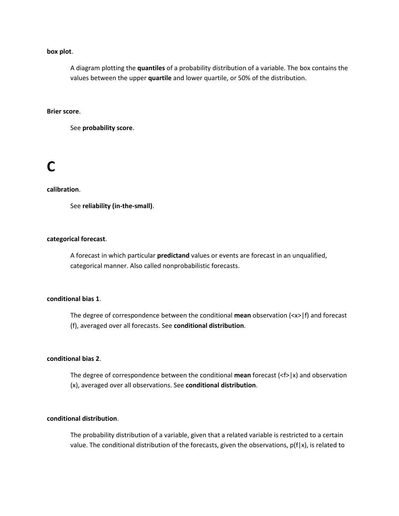### **box plot**.

A diagram plotting the **quantiles** of a probability distribution of a variable. The box contains the values between the upper **quartile** and lower quartile, or 50% of the distribution.

### **Brier score**.

See **probability score**.

### **[C](http://www.swpc.noaa.gov/forecast_verification/Glossary.html#top)**

### **calibration**.

See **reliability (in-the-small)**.

### **categorical forecast**.

A forecast in which particular **predictand** values or events are forecast in an unqualified, categorical manner. Also called nonprobabilistic forecasts.

### **conditional bias 1**.

The degree of correspondence between the conditional **mean** observation (<x>|f) and forecast (f), averaged over all forecasts. See **conditional distribution**.

### **conditional bias 2**.

The degree of correspondence between the conditional **mean** forecast  $\langle \langle f \rangle |x \rangle$  and observation (x), averaged over all observations. See **conditional distribution**.

### **conditional distribution**.

The probability distribution of a variable, given that a related variable is restricted to a certain value. The conditional distribution of the forecasts, given the observations,  $p(f|x)$ , is related to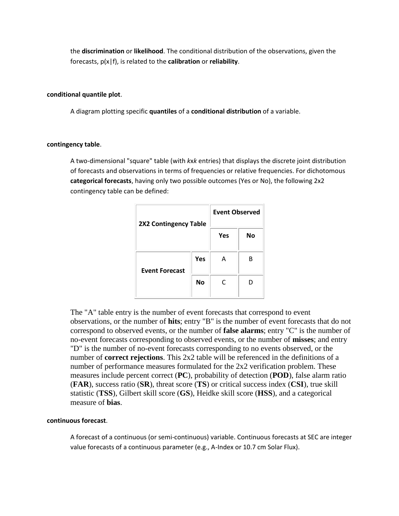the **discrimination** or **likelihood**. The conditional distribution of the observations, given the forecasts, p(x|f), is related to the **calibration** or **reliability**.

### **conditional quantile plot**.

A diagram plotting specific **quantiles** of a **conditional distribution** of a variable.

### **contingency table**.

A two-dimensional "square" table (with *k*x*k* entries) that displays the discrete joint distribution of forecasts and observations in terms of frequencies or relative frequencies. For dichotomous **categorical forecasts**, having only two possible outcomes (Yes or No), the following 2x2 contingency table can be defined:

| <b>2X2 Contingency Table</b> |     | <b>Event Observed</b> |    |
|------------------------------|-----|-----------------------|----|
|                              |     | <b>Yes</b>            | Nο |
| <b>Event Forecast</b>        | Yes | А                     | R  |
|                              | No  | C                     |    |

The "A" table entry is the number of event forecasts that correspond to event observations, or the number of **hits**; entry "B" is the number of event forecasts that do not correspond to observed events, or the number of **false alarms**; entry "C" is the number of no-event forecasts corresponding to observed events, or the number of **misses**; and entry "D" is the number of no-event forecasts corresponding to no events observed, or the number of **correct rejections**. This 2x2 table will be referenced in the definitions of a number of performance measures formulated for the 2x2 verification problem. These measures include percent correct (**PC**), probability of detection (**POD**), false alarm ratio (**FAR**), success ratio (**SR**), threat score (**TS**) or critical success index (**CSI**), true skill statistic (**TSS**), Gilbert skill score (**GS**), Heidke skill score (**HSS**), and a categorical measure of **bias**.

### **continuous forecast**.

A forecast of a continuous (or semi-continuous) variable. Continuous forecasts at SEC are integer value forecasts of a continuous parameter (e.g., A-Index or 10.7 cm Solar Flux).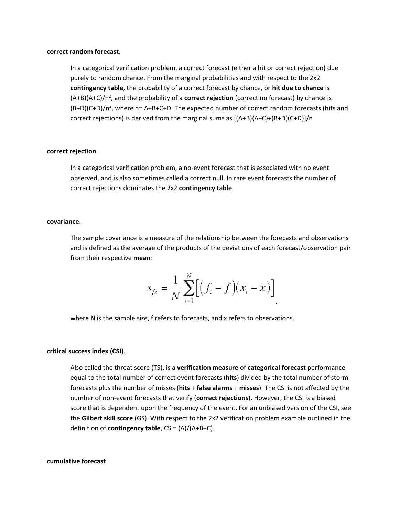#### **correct random forecast**.

In a categorical verification problem, a correct forecast (either a hit or correct rejection) due purely to random chance. From the marginal probabilities and with respect to the 2x2 **contingency table**, the probability of a correct forecast by chance, or **hit due to chance** is (A+B)(A+C)/n<sup>2</sup>, and the probability of a **correct rejection** (correct no forecast) by chance is  $(B+D)(C+D)/n^2$ , where n= A+B+C+D. The expected number of correct random forecasts (hits and correct rejections) is derived from the marginal sums as [(A+B)(A+C)+(B+D)(C+D)]/n

### **correct rejection**.

In a categorical verification problem, a no-event forecast that is associated with no event observed, and is also sometimes called a correct null. In rare event forecasts the number of correct rejections dominates the 2x2 **contingency table**.

#### **covariance**.

The sample covariance is a measure of the relationship between the forecasts and observations and is defined as the average of the products of the deviations of each forecast/observation pair from their respective **mean**:

$$
s_{f\mathcal{X}} = \frac{1}{N} \sum_{i=1}^{N} \Big[ \Big( f_i - \bar{f} \Big) \Big( x_i - \bar{x} \Big) \Big]
$$

where N is the sample size, f refers to forecasts, and x refers to observations.

### **critical success index (CSI)**.

Also called the threat score (TS), is a **verification measure** of **categorical forecast** performance equal to the total number of correct event forecasts (**hits**) divided by the total number of storm forecasts plus the number of misses (**hits** + **false alarms** + **misses**). The CSI is not affected by the number of non-event forecasts that verify (**correct rejections**). However, the CSI is a biased score that is dependent upon the frequency of the event. For an unbiased version of the CSI, see the **Gilbert skill score** (GS). With respect to the 2x2 verification problem example outlined in the definition of **contingency table**, CSI= (A)/(A+B+C).

#### **cumulative forecast**.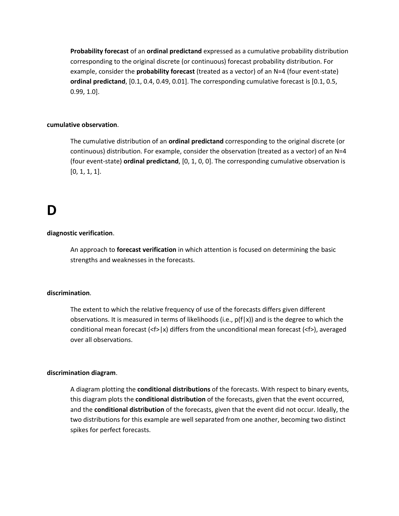**Probability forecast** of an **ordinal predictand** expressed as a cumulative probability distribution corresponding to the original discrete (or continuous) forecast probability distribution. For example, consider the **probability forecast** (treated as a vector) of an N=4 (four event-state) **ordinal predictand**, [0.1, 0.4, 0.49, 0.01]. The corresponding cumulative forecast is [0.1, 0.5, 0.99, 1.0].

### **cumulative observation**.

The cumulative distribution of an **ordinal predictand** corresponding to the original discrete (or continuous) distribution. For example, consider the observation (treated as a vector) of an N=4 (four event-state) **ordinal predictand**, [0, 1, 0, 0]. The corresponding cumulative observation is [0, 1, 1, 1].

### **D**

### **diagnostic verification**.

An approach to **forecast verification** in which attention is focused on determining the basic strengths and weaknesses in the forecasts.

### **discrimination**.

The extent to which the relative frequency of use of the forecasts differs given different observations. It is measured in terms of likelihoods (i.e.,  $p(f|x)$ ) and is the degree to which the conditional mean forecast (<f>|x) differs from the unconditional mean forecast (<f>), averaged over all observations.

### **discrimination diagram**.

A diagram plotting the **conditional distributions** of the forecasts. With respect to binary events, this diagram plots the **conditional distribution** of the forecasts, given that the event occurred, and the **conditional distribution** of the forecasts, given that the event did not occur. Ideally, the two distributions for this example are well separated from one another, becoming two distinct spikes for perfect forecasts.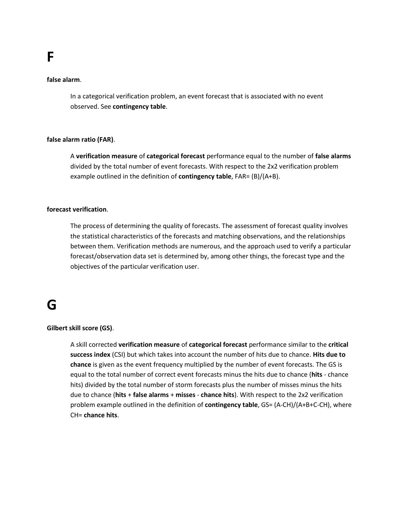### **false alarm**.

In a categorical verification problem, an event forecast that is associated with no event observed. See **contingency table**.

### **false alarm ratio (FAR)**.

A **verification measure** of **categorical forecast** performance equal to the number of **false alarms** divided by the total number of event forecasts. With respect to the 2x2 verification problem example outlined in the definition of **contingency table**, FAR= (B)/(A+B).

### **forecast verification**.

The process of determining the quality of forecasts. The assessment of forecast quality involves the statistical characteristics of the forecasts and matching observations, and the relationships between them. Verification methods are numerous, and the approach used to verify a particular forecast/observation data set is determined by, among other things, the forecast type and the objectives of the particular verification user.

### **G**

### **Gilbert skill score (GS)**.

A skill corrected **verification measure** of **categorical forecast** performance similar to the **critical success index** (CSI) but which takes into account the number of hits due to chance. **Hits due to chance** is given as the event frequency multiplied by the number of event forecasts. The GS is equal to the total number of correct event forecasts minus the hits due to chance (**hits** - chance hits) divided by the total number of storm forecasts plus the number of misses minus the hits due to chance (**hits** + **false alarms** + **misses** - **chance hits**). With respect to the 2x2 verification problem example outlined in the definition of **contingency table**, GS= (A-CH)/(A+B+C-CH), where CH= **chance hits**.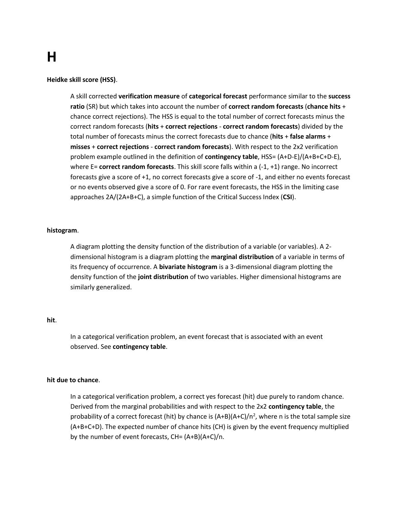# **[H](http://www.swpc.noaa.gov/forecast_verification/Glossary.html#top)**

### **Heidke skill score (HSS)**.

A skill corrected **verification measure** of **categorical forecast** performance similar to the **success ratio** (SR) but which takes into account the number of **correct random forecasts** (**chance hits** + chance correct rejections). The HSS is equal to the total number of correct forecasts minus the correct random forecasts (**hits** + **correct rejections** - **correct random forecasts**) divided by the total number of forecasts minus the correct forecasts due to chance (**hits** + **false alarms** + **misses** + **correct rejections** - **correct random forecasts**). With respect to the 2x2 verification problem example outlined in the definition of **contingency table**, HSS= (A+D-E)/(A+B+C+D-E), where E= **correct random forecasts**. This skill score falls within a (-1, +1) range. No incorrect forecasts give a score of +1, no correct forecasts give a score of -1, and either no events forecast or no events observed give a score of 0. For rare event forecasts, the HSS in the limiting case approaches 2A/(2A+B+C), a simple function of the Critical Success Index (**CSI**).

### **histogram**.

A diagram plotting the density function of the distribution of a variable (or variables). A 2 dimensional histogram is a diagram plotting the **marginal distribution** of a variable in terms of its frequency of occurrence. A **bivariate histogram** is a 3-dimensional diagram plotting the density function of the **joint distribution** of two variables. Higher dimensional histograms are similarly generalized.

### **hit**.

In a categorical verification problem, an event forecast that is associated with an event observed. See **contingency table**.

### **hit due to chance**.

In a categorical verification problem, a correct yes forecast (hit) due purely to random chance. Derived from the marginal probabilities and with respect to the 2x2 **contingency table**, the probability of a correct forecast (hit) by chance is  $(A+B)(A+C)/n^2$ , where n is the total sample size (A+B+C+D). The expected number of chance hits (CH) is given by the event frequency multiplied by the number of event forecasts, CH= (A+B)(A+C)/n.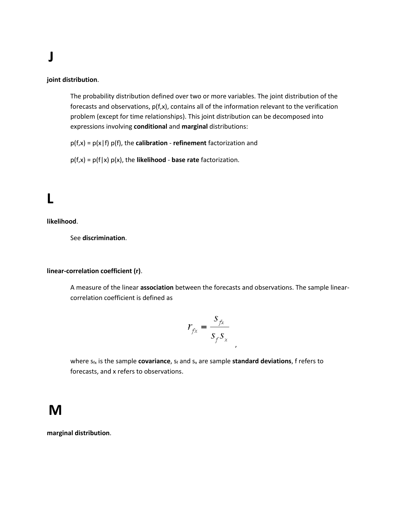# **[J](http://www.swpc.noaa.gov/forecast_verification/Glossary.html#top)**

### **joint distribution**.

The probability distribution defined over two or more variables. The joint distribution of the forecasts and observations, p(f,x), contains all of the information relevant to the verification problem (except for time relationships). This joint distribution can be decomposed into expressions involving **conditional** and **marginal** distributions:

p(f,x) = p(x|f) p(f), the **calibration** - **refinement** factorization and

p(f,x) = p(f|x) p(x), the **likelihood** - **base rate** factorization.

## **[L](http://www.swpc.noaa.gov/forecast_verification/Glossary.html#top)**

**likelihood**.

See **discrimination**.

### **linear-correlation coefficient (r)**.

A measure of the linear **association** between the forecasts and observations. The sample linearcorrelation coefficient is defined as

$$
r_{f\!x} = \frac{s_{f\!x}}{s_f s_x}
$$

,

where  $s_{fx}$  is the sample **covariance**,  $s_f$  and  $s_x$  are sample **standard deviations**, f refers to forecasts, and x refers to observations.

### **M**

**marginal distribution**.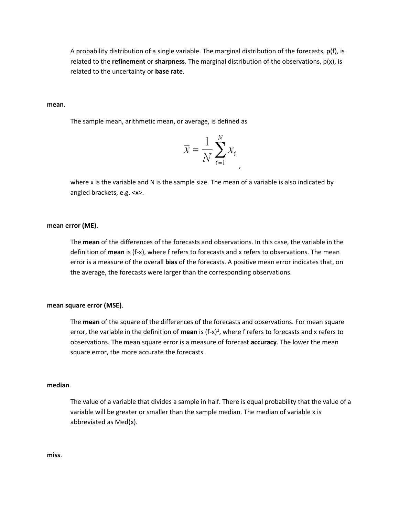A probability distribution of a single variable. The marginal distribution of the forecasts, p(f), is related to the **refinement** or **sharpness**. The marginal distribution of the observations, p(x), is related to the uncertainty or **base rate**.

**mean**.

The sample mean, arithmetic mean, or average, is defined as

$$
\overline{x} = \frac{1}{N} \sum_{i=1}^{N} x_i
$$

where x is the variable and N is the sample size. The mean of a variable is also indicated by angled brackets, e.g. <x>.

### **mean error (ME)**.

The **mean** of the differences of the forecasts and observations. In this case, the variable in the definition of **mean** is (f-x), where f refers to forecasts and x refers to observations. The mean error is a measure of the overall **bias** of the forecasts. A positive mean error indicates that, on the average, the forecasts were larger than the corresponding observations.

#### **mean square error (MSE)**.

The **mean** of the square of the differences of the forecasts and observations. For mean square error, the variable in the definition of **mean** is (f-x)<sup>2</sup>, where f refers to forecasts and x refers to observations. The mean square error is a measure of forecast **accuracy**. The lower the mean square error, the more accurate the forecasts.

### **median**.

The value of a variable that divides a sample in half. There is equal probability that the value of a variable will be greater or smaller than the sample median. The median of variable x is abbreviated as Med(x).

**miss**.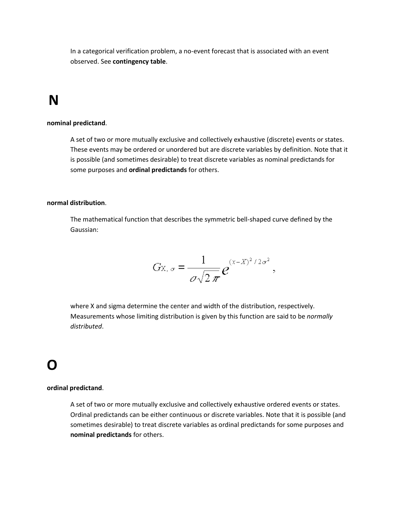In a categorical verification problem, a no-event forecast that is associated with an event observed. See **contingency table**.

## **[N](http://www.swpc.noaa.gov/forecast_verification/Glossary.html#top)**

### **nominal predictand**.

A set of two or more mutually exclusive and collectively exhaustive (discrete) events or states. These events may be ordered or unordered but are discrete variables by definition. Note that it is possible (and sometimes desirable) to treat discrete variables as nominal predictands for some purposes and **ordinal predictands** for others.

### **normal distribution**.

The mathematical function that describes the symmetric bell-shaped curve defined by the Gaussian:

$$
G_{X,\,\sigma}=\frac{1}{\sigma\sqrt{2\,\pi}}e^{(x-X)^2/2\sigma^2},
$$

where X and sigma determine the center and width of the distribution, respectively. Measurements whose limiting distribution is given by this function are said to be *normally distributed*.

### **O**

### **ordinal predictand**.

A set of two or more mutually exclusive and collectively exhaustive ordered events or states. Ordinal predictands can be either continuous or discrete variables. Note that it is possible (and sometimes desirable) to treat discrete variables as ordinal predictands for some purposes and **nominal predictands** for others.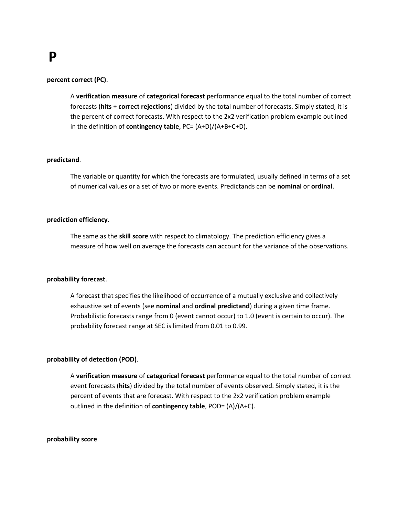## **P**

### **percent correct (PC)**.

A **verification measure** of **categorical forecast** performance equal to the total number of correct forecasts (**hits** + **correct rejections**) divided by the total number of forecasts. Simply stated, it is the percent of correct forecasts. With respect to the 2x2 verification problem example outlined in the definition of **contingency table**, PC= (A+D)/(A+B+C+D).

### **predictand**.

The variable or quantity for which the forecasts are formulated, usually defined in terms of a set of numerical values or a set of two or more events. Predictands can be **nominal** or **ordinal**.

### **prediction efficiency**.

The same as the **skill score** with respect to climatology. The prediction efficiency gives a measure of how well on average the forecasts can account for the variance of the observations.

### **probability forecast**.

A forecast that specifies the likelihood of occurrence of a mutually exclusive and collectively exhaustive set of events (see **nominal** and **ordinal predictand**) during a given time frame. Probabilistic forecasts range from 0 (event cannot occur) to 1.0 (event is certain to occur). The probability forecast range at SEC is limited from 0.01 to 0.99.

### **probability of detection (POD)**.

A **verification measure** of **categorical forecast** performance equal to the total number of correct event forecasts (**hits**) divided by the total number of events observed. Simply stated, it is the percent of events that are forecast. With respect to the 2x2 verification problem example outlined in the definition of **contingency table**, POD= (A)/(A+C).

#### **probability score**.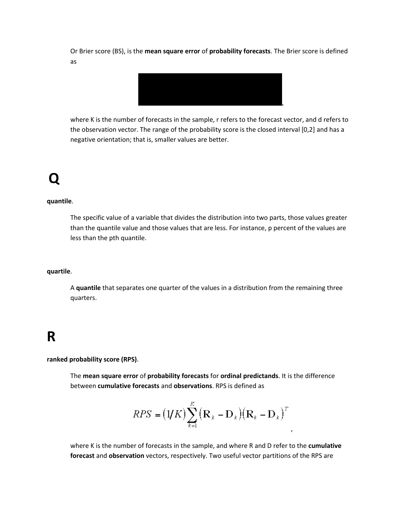Or Brier score (BS), is the **mean square error** of **probability forecasts**. The Brier score is defined as



where K is the number of forecasts in the sample, r refers to the forecast vector, and d refers to the observation vector. The range of the probability score is the closed interval [0,2] and has a negative orientation; that is, smaller values are better.

# **[Q](http://www.swpc.noaa.gov/forecast_verification/Glossary.html#top)**

### **quantile**.

The specific value of a variable that divides the distribution into two parts, those values greater than the quantile value and those values that are less. For instance, p percent of the values are less than the pth quantile.

### **quartile**.

A **quantile** that separates one quarter of the values in a distribution from the remaining three quarters.

## **R**

**ranked probability score (RPS)**.

The **mean square error** of **probability forecasts** for **ordinal predictands**. It is the difference between **cumulative forecasts** and **observations**. RPS is defined as

$$
RPS = (\mathbf{1}/K)\sum_{k=1}^{K} (\mathbf{R}_{k} - \mathbf{D}_{k})(\mathbf{R}_{k} - \mathbf{D}_{k})^{T}
$$

,

where K is the number of forecasts in the sample, and where R and D refer to the **cumulative forecast** and **observation** vectors, respectively. Two useful vector partitions of the RPS are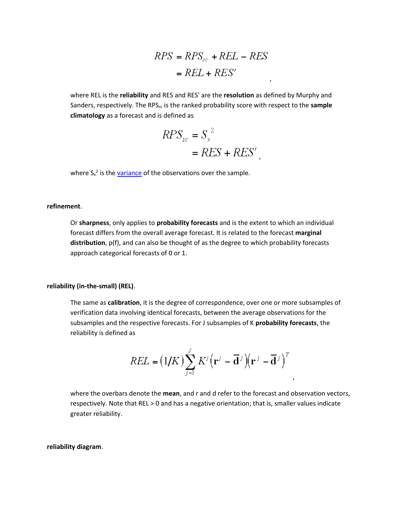$$
RPS = RPS_{sc} + REL - RES
$$

$$
= REL + RES'
$$

,

where REL is the **reliability** and RES and RES' are the **resolution** as defined by Murphy and Sanders, respectively. The RPS<sub>sc</sub> is the ranked probability score with respect to the **sample climatology** as a forecast and is defined as

$$
RPS_{sc} = S_x^2
$$
  
= 
$$
RES + RES'
$$

where S<sub>x</sub><sup>2</sup> is the **variance** of the observations over the sample.

#### **refinement**.

Or **sharpness**, only applies to **probability forecasts** and is the extent to which an individual forecast differs from the overall average forecast. It is related to the forecast **marginal distribution**, p(f), and can also be thought of as the degree to which probability forecasts approach categorical forecasts of 0 or 1.

### **reliability (in-the-small) (REL)**.

The same as **calibration**, it is the degree of correspondence, over one or more subsamples of verification data involving identical forecasts, between the average observations for the subsamples and the respective forecasts. For J subsamples of K **probability forecasts**, the reliability is defined as

$$
REL = (1/K) \sum_{j=1}^{J} K^{j} (\mathbf{r}^{j} - \overline{\mathbf{d}}^{j}) (\mathbf{r}^{j} - \overline{\mathbf{d}}^{j})^{T}
$$

where the overbars denote the **mean**, and r and d refer to the forecast and observation vectors, respectively. Note that REL > 0 and has a negative orientation; that is, smaller values indicate greater reliability.

**reliability diagram**.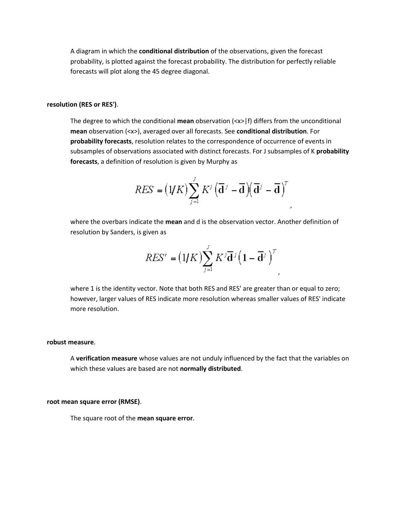A diagram in which the **conditional distribution** of the observations, given the forecast probability, is plotted against the forecast probability. The distribution for perfectly reliable forecasts will plot along the 45 degree diagonal.

### **resolution (RES or RES')**.

The degree to which the conditional **mean** observation (<x>|f) differs from the unconditional **mean** observation (<x>), averaged over all forecasts. See **conditional distribution**. For **probability forecasts**, resolution relates to the correspondence of occurrence of events in subsamples of observations associated with distinct forecasts. For J subsamples of K **probability forecasts**, a definition of resolution is given by Murphy as

$$
RES = (\mathbf{1}/K)\sum_{j=1}^{J} K^{j} (\overline{\mathbf{d}}^{j} - \overline{\mathbf{d}})(\overline{\mathbf{d}}^{j} - \overline{\mathbf{d}})^{T}
$$

,

,

where the overbars indicate the **mean** and d is the observation vector. Another definition of resolution by Sanders, is given as

$$
RES' = (1/K)\sum_{j=1}^{J} K^{j} \overline{\mathbf{d}}^{j} (1 - \overline{\mathbf{d}}^{j})^{T}
$$

where 1 is the identity vector. Note that both RES and RES' are greater than or equal to zero; however, larger values of RES indicate more resolution whereas smaller values of RES' indicate more resolution.

#### **robust measure**.

A **verification measure** whose values are not unduly influenced by the fact that the variables on which these values are based are not **normally distributed**.

### **root mean square error (RMSE)**.

The square root of the **mean square error**.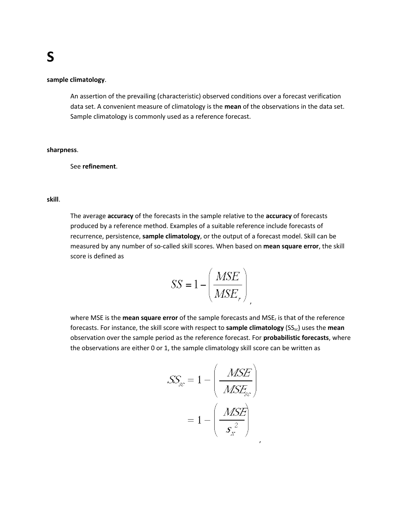### **sample climatology**.

An assertion of the prevailing (characteristic) observed conditions over a forecast verification data set. A convenient measure of climatology is the **mean** of the observations in the data set. Sample climatology is commonly used as a reference forecast.

### **sharpness**.

See **refinement**.

**skill**.

The average **accuracy** of the forecasts in the sample relative to the **accuracy** of forecasts produced by a reference method. Examples of a suitable reference include forecasts of recurrence, persistence, **sample climatology**, or the output of a forecast model. Skill can be measured by any number of so-called skill scores. When based on **mean square error**, the skill score is defined as

$$
SS = 1 - \left(\frac{MSE}{MSE_{r}}\right)
$$

,

,

where MSE is the **mean square error** of the sample forecasts and MSE<sup>r</sup> is that of the reference forecasts. For instance, the skill score with respect to **sample climatology** (SS<sub>sc</sub>) uses the **mean** observation over the sample period as the reference forecast. For **probabilistic forecasts**, where the observations are either 0 or 1, the sample climatology skill score can be written as

$$
SS_{sc} = 1 - \left(\frac{MSE}{MSE_{sc}}\right)
$$

$$
= 1 - \left(\frac{MSE}{s_{sc}^{2}}\right)
$$

## **[S](http://www.swpc.noaa.gov/forecast_verification/Glossary.html#top)**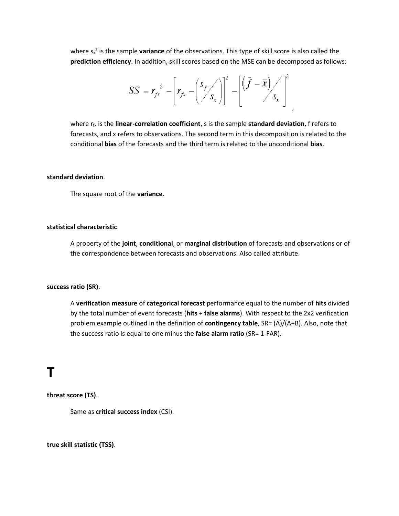where s<sub>x</sub><sup>2</sup> is the sample **variance** of the observations. This type of skill score is also called the **prediction efficiency**. In addition, skill scores based on the MSE can be decomposed as follows:

$$
SS = r_{fx}^{2} - \left[r_{fx} - \left(\frac{s_{f}}{s_{x}}\right)\right]^{2} - \left[\left(\bar{f} - \bar{x}\right)_{s_{x}}\right]^{2}
$$

,

where  $r_{fx}$  is the **linear-correlation coefficient**, s is the sample **standard deviation**, f refers to forecasts, and x refers to observations. The second term in this decomposition is related to the conditional **bias** of the forecasts and the third term is related to the unconditional **bias**.

### **standard deviation**.

The square root of the **variance**.

### **statistical characteristic**.

A property of the **joint**, **conditional**, or **marginal distribution** of forecasts and observations or of the correspondence between forecasts and observations. Also called attribute.

### **success ratio (SR)**.

A **verification measure** of **categorical forecast** performance equal to the number of **hits** divided by the total number of event forecasts (**hits** + **false alarms**). With respect to the 2x2 verification problem example outlined in the definition of **contingency table**, SR= (A)/(A+B). Also, note that the success ratio is equal to one minus the **false alarm ratio** (SR= 1-FAR).

### **[T](http://www.swpc.noaa.gov/forecast_verification/Glossary.html#top)**

**threat score (TS)**.

Same as **critical success index** (CSI).

**true skill statistic (TSS)**.